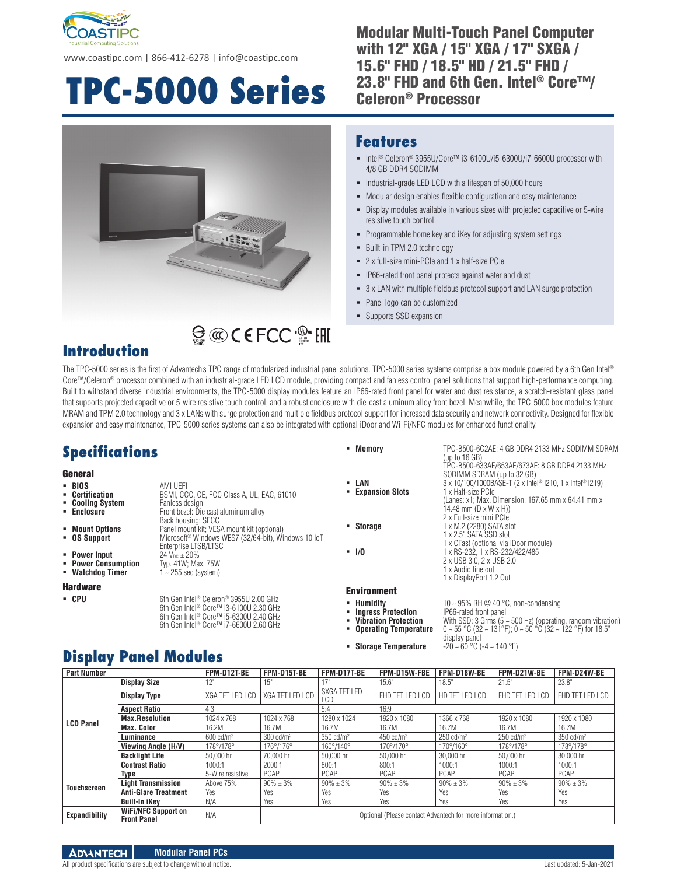

www.coastipc.com | 866-412-6278 | info@coastipc.com

# **TPC-5000 Series**

#### Modular Multi-Touch Panel Computer with 12" XGA / 15" XGA / 17" SXGA / 15.6" FHD / 18.5" HD / 21.5" FHD / 23.8" FHD and 6th Gen. Intel® Core™/ Celeron® Processor



#### **Features**

- Intel® Celeron® 3955U/Core™ i3-6100U/i5-6300U/i7-6600U processor with 4/8 GB DDR4 SODIMM
- Industrial-grade LED LCD with a lifespan of 50,000 hours
- Modular design enables flexible configuration and easy maintenance
- Display modules available in various sizes with projected capacitive or 5-wire resistive touch control
- Programmable home key and iKey for adjusting system settings
- Built-in TPM 2.0 technology
- 2 x full-size mini-PCIe and 1 x half-size PCIe
- IP66-rated front panel protects against water and dust
- 3 x LAN with multiple fieldbus protocol support and LAN surge protection

 **Memory** TPC-B500-6C2AE: 4 GB DDR4 2133 MHz SODIMM SDRAM (up to 16 GB)

14.48 mm (D x W x H)) 2 x Full-size mini PCIe

2 x USB 3.0, 2 x USB 2.0 1 x Audio line out 1 x DisplayPort 1.2 Out

SODIMM SDRAM (up to 32 GB)

TPC-B500-633AE/653AE/673AE: 8 GB DDR4 2133 MHz

(Lanes: x1; Max. Dimension: 167.65 mm x 64.41 mm x

- Panel logo can be customized
- Supports SSD expansion

### **Introduction**

The TPC-5000 series is the first of Advantech's TPC range of modularized industrial panel solutions. TPC-5000 series systems comprise a box module powered by a 6th Gen Intel® Core™/Celeron® processor combined with an industrial-grade LED LCD module, providing compact and fanless control panel solutions that support high-performance computing. Built to withstand diverse industrial environments, the TPC-5000 display modules feature an IP66-rated front panel for water and dust resistance, a scratch-resistant glass panel that supports projected capacitive or 5-wire resistive touch control, and a robust enclosure with die-cast aluminum alloy front bezel. Meanwhile, the TPC-5000 box modules feature MRAM and TPM 2.0 technology and 3 x LANs with surge protection and multiple fieldbus protocol support for increased data security and network connectivity. Designed for flexible expansion and easy maintenance, TPC-5000 series systems can also be integrated with optional iDoor and Wi-Fi/NFC modules for enhanced functionality.

### **Specifications**

## General<br>• BIOS

- **BIOS** AMI UEFI<br>**Certification** BSMI, CC
- **Cooling System**<br>Faclosure
- 
- 
- 
- 
- **Power Input<br>Power Consumption**
- 

#### Hardware

**Fanless design**<br>Front bezel: Die cast aluminum alloy Back housing: SECC **Mount Options** Panel mount kit; VESA mount kit (optional) **OS Support** Microsoft® Windows WES7 (32/64-bit), Windows 10 IoT Enterprise LTSB/LTSC<br>24 V<sub>nc</sub> + 20% **Power Consumption** Typ. 41W; Max. 75W **Watchdog Timer** 1 ~ 255 sec (system)

BSMI, CCC, CE, FCC Class A, UL, EAC, 61010

#### ■ CPU 6th Gen Intel<sup>®</sup> Celeron® 3955U 2.00 GHz 6th Gen Intel® Core™ i3-6100U 2.30 GHz 6th Gen Intel<sup>®</sup> Core™ i5-6300U 2.40 GHz 6th Gen Intel® Core™ i7-6600U 2.60 GHz

- 
- **LAN**  $3 \times 10/100/1000BASE-T$  (2 x Intel® I210, 1 x Intel® I219)<br>**Expansion Slots**  $1 \times$  Half-size PCle **Expansion Slots**
- 
- 
- -
- Environment
- 
- **EXTEE Humidity<br>Ingress Protection<br>Interation Protection**
- 
- 
- **-** Storage Temperature
- 10 ~ 95% RH @ 40 °C, non-condensing<br>IP66-rated front panel **Vibration Protection** With SSD: 3 Grms (5 ~ 500 Hz) (operating, random vibration) **Operating Temperature** 0 ~ 55 °C (32 ~ 131°F); 0 ~ 50 °C (32 ~ 122 °F) for 18.5"

1 x CFast (optional via iDoor module)

- display panel<br>-20 ~ 60 °C (-4 ~ 140 °F)
- 



All product specifications are subject to change without notice. Last updated: 5-Jan-2021

**Display Panel Modules**

**Storage** 1 x M.2 (2280) SATA slot<br>1 x 2.5" SATA SSD slot

**I/O** 1 x RS-232, 1 x RS-232/422/485